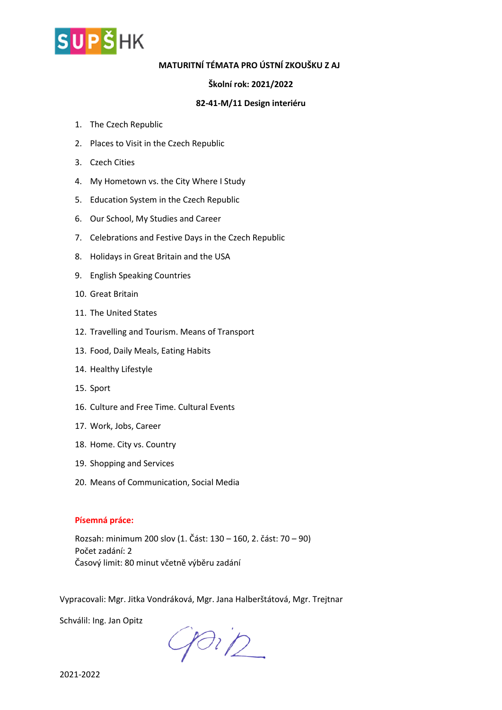

# **MATURITNÍ TÉMATA PRO ÚSTNÍ ZKOUŠKU Z AJ**

## **Školní rok: 2021/2022**

## **82-41-M/11 Design interiéru**

- 1. The Czech Republic
- 2. Places to Visit in the Czech Republic
- 3. Czech Cities
- 4. My Hometown vs. the City Where I Study
- 5. Education System in the Czech Republic
- 6. Our School, My Studies and Career
- 7. Celebrations and Festive Days in the Czech Republic
- 8. Holidays in Great Britain and the USA
- 9. English Speaking Countries
- 10. Great Britain
- 11. The United States
- 12. Travelling and Tourism. Means of Transport
- 13. Food, Daily Meals, Eating Habits
- 14. Healthy Lifestyle
- 15. Sport
- 16. Culture and Free Time. Cultural Events
- 17. Work, Jobs, Career
- 18. Home. City vs. Country
- 19. Shopping and Services
- 20. Means of Communication, Social Media

### **Písemná práce:**

Rozsah: minimum 200 slov (1. Část: 130 – 160, 2. část: 70 – 90) Počet zadání: 2 Časový limit: 80 minut včetně výběru zadání

Vypracovali: Mgr. Jitka Vondráková, Mgr. Jana Halberštátová, Mgr. Trejtnar

Schválil: Ing. Jan Opitz

 $9012$